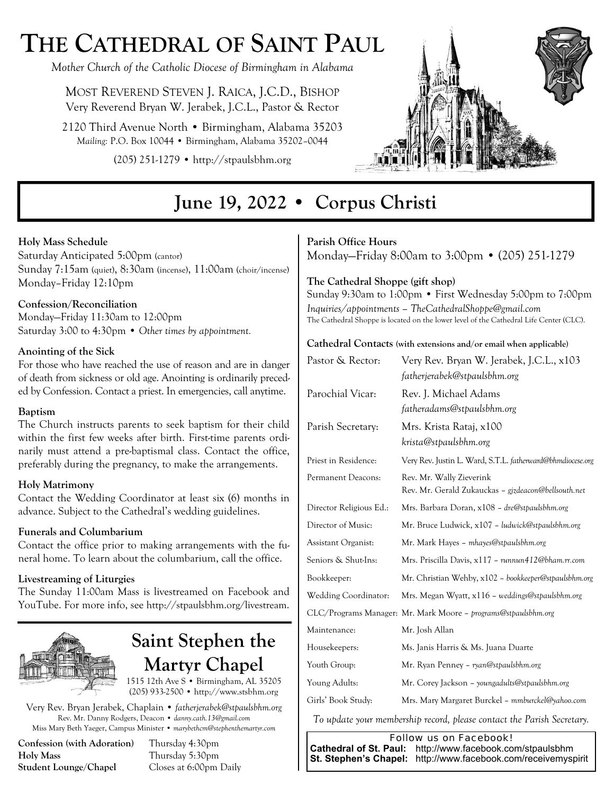# **THE CATHEDRAL OF SAINT PAUL**

*Mother Church of the Catholic Diocese of Birmingham in Alabama* 

MOST REVEREND STEVEN J. RAICA, J.C.D., BISHOP Very Reverend Bryan W. Jerabek, J.C.L., Pastor & Rector

2120 Third Avenue North • Birmingham, Alabama 35203 *Mailing:* P.O. Box 10044 • Birmingham, Alabama 35202–0044

(205) 251-1279 • http://stpaulsbhm.org



# **June 19, 2022 • Corpus Christi**

#### **Holy Mass Schedule**

Saturday Anticipated 5:00pm (cantor) Sunday 7:15am (quiet), 8:30am (incense), 11:00am (choir/incense) Monday–Friday 12:10pm

#### **Confession/Reconciliation**

Monday—Friday 11:30am to 12:00pm Saturday 3:00 to 4:30pm • *Other times by appointment.* 

#### **Anointing of the Sick**

For those who have reached the use of reason and are in danger of death from sickness or old age. Anointing is ordinarily preceded by Confession. Contact a priest. In emergencies, call anytime.

#### **Baptism**

The Church instructs parents to seek baptism for their child within the first few weeks after birth. First-time parents ordinarily must attend a pre-baptismal class. Contact the office, preferably during the pregnancy, to make the arrangements.

#### **Holy Matrimony**

Contact the Wedding Coordinator at least six (6) months in advance. Subject to the Cathedral's wedding guidelines.

#### **Funerals and Columbarium**

Contact the office prior to making arrangements with the funeral home. To learn about the columbarium, call the office.

#### **Livestreaming of Liturgies**

The Sunday 11:00am Mass is livestreamed on Facebook and YouTube. For more info, see http://stpaulsbhm.org/livestream.



# **Saint Stephen the Martyr Chapel**

1515 12th Ave S • Birmingham, AL 35205 (205) 933-2500 • http://www.stsbhm.org

Very Rev. Bryan Jerabek, Chaplain • *fatherjerabek@stpaulsbhm.org* Rev. Mr. Danny Rodgers, Deacon • *danny.cath.13@gmail.com* Miss Mary Beth Yaeger, Campus Minister • *marybethcm@stephenthemartyr.com* 

**Confession (with Adoration)** Thursday 4:30pm **Holy Mass** Thursday 5:30pm **Student Lounge/Chapel** Closes at 6:00pm Daily

#### **Parish Office Hours**

Monday—Friday 8:00am to 3:00pm • (205) 251-1279

#### **The Cathedral Shoppe (gift shop)**

Sunday 9:30am to 1:00pm • First Wednesday 5:00pm to 7:00pm *Inquiries/appointments – TheCathedralShoppe@gmail.com*  The Cathedral Shoppe is located on the lower level of the Cathedral Life Center (CLC).

#### **Cathedral Contacts (with extensions and/or email when applicable)**

| Pastor & Rector:        | Very Rev. Bryan W. Jerabek, J.C.L., x103<br>fatherjerabek@stpaulsbhm.org        |
|-------------------------|---------------------------------------------------------------------------------|
| Parochial Vicar:        | Rev. J. Michael Adams<br>fatheradams@stpaulsbhm.org                             |
| Parish Secretary:       | Mrs. Krista Rataj, x100<br>krista@stpaulsbhm.org                                |
| Priest in Residence:    | Very Rev. Justin L. Ward, S.T.L. fatherward@bhmdiocese.org                      |
| Permanent Deacons:      | Rev. Mr. Wally Zieverink<br>Rev. Mr. Gerald Zukauckas - gjzdeacon@bellsouth.net |
| Director Religious Ed.: | Mrs. Barbara Doran, x108 - dre@stpaulsbhm.org                                   |
| Director of Music:      | Mr. Bruce Ludwick, x107 – ludwick@stpaulsbhm.org                                |
| Assistant Organist:     | Mr. Mark Hayes - mhayes@stpaulsbhm.org                                          |
| Seniors & Shut-Ins:     | Mrs. Priscilla Davis, x117 – runnun412@bham.rr.com                              |
| Bookkeeper:             | Mr. Christian Wehby, x102 - bookkeeper@stpaulsbhm.org                           |
| Wedding Coordinator:    | Mrs. Megan Wyatt, x116 - weddings@stpaulsbhm.org                                |
|                         | CLC/Programs Manager: Mr. Mark Moore - programs@stpaulsbhm.org                  |
| Maintenance:            | Mr. Josh Allan                                                                  |
| Housekeepers:           | Ms. Janis Harris & Ms. Juana Duarte                                             |
| Youth Group:            | Mr. Ryan Penney – ryan@stpaulsbhm.org                                           |
| Young Adults:           | Mr. Corey Jackson - youngadults@stpaulsbhm.org                                  |
| Girls' Book Study:      | Mrs. Mary Margaret Burckel - mmburckel@yahoo.com                                |

*To update your membership record, please contact the Parish Secretary.* 

*Follow us on Facebook!*   **Cathedral of St. Paul:** http://www.facebook.com/stpaulsbhm  **St. Stephen's Chapel:** http://www.facebook.com/receivemyspirit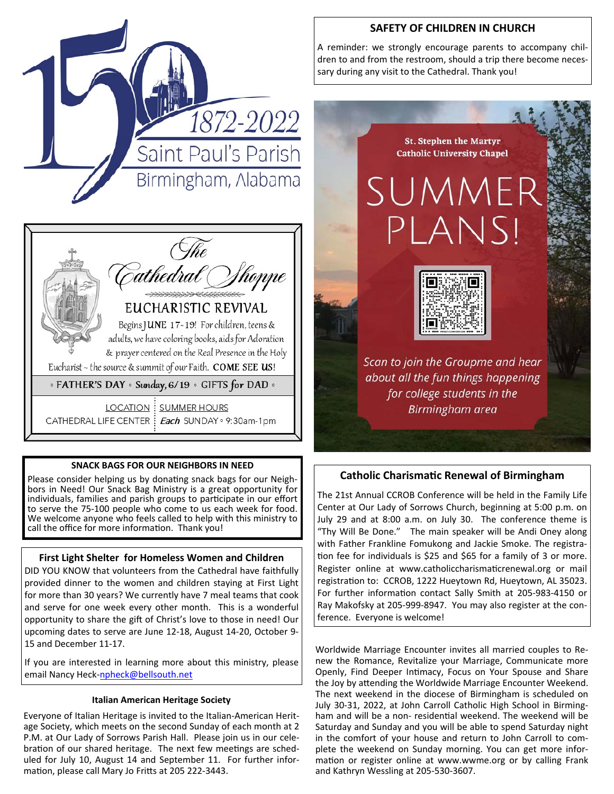



#### **SNACK BAGS FOR OUR NEIGHBORS IN NEED**

Please consider helping us by donating snack bags for our Neighbors in Need! Our Snack Bag Ministry is a great opportunity for individuals, families and parish groups to participate in our effort to serve the 75-100 people who come to us each week for food. We welcome anyone who feels called to help with this ministry to call the office for more information. Thank you!

#### **First Light Shelter for Homeless Women and Children**

DID YOU KNOW that volunteers from the Cathedral have faithfully provided dinner to the women and children staying at First Light for more than 30 years? We currently have 7 meal teams that cook and serve for one week every other month. This is a wonderful opportunity to share the gift of Christ's love to those in need! Our upcoming dates to serve are June 12-18, August 14-20, October 9- 15 and December 11-17.

If you are interested in learning more about this ministry, please email Nancy Heck-npheck@bellsouth.net

#### **Italian American Heritage Society**

Everyone of Italian Heritage is invited to the Italian-American Heritage Society, which meets on the second Sunday of each month at 2 P.M. at Our Lady of Sorrows Parish Hall. Please join us in our celebration of our shared heritage. The next few meetings are scheduled for July 10, August 14 and September 11. For further information, please call Mary Jo Fritts at 205 222-3443.

#### **SAFETY OF CHILDREN IN CHURCH**

A reminder: we strongly encourage parents to accompany children to and from the restroom, should a trip there become necessary during any visit to the Cathedral. Thank you!

**St. Stephen the Martyr** 

**Catholic University Chapel** 

SUMMEF

PLANS!

#### **Catholic CharismaƟc Renewal of Birmingham**

Scan to join the Groupme and hear

about all the fun things happening

for college students in the

Birmingham area

The 21st Annual CCROB Conference will be held in the Family Life Center at Our Lady of Sorrows Church, beginning at 5:00 p.m. on July 29 and at 8:00 a.m. on July 30. The conference theme is "Thy Will Be Done." The main speaker will be Andi Oney along with Father Frankline Fomukong and Jackie Smoke. The registration fee for individuals is \$25 and \$65 for a family of 3 or more. Register online at www.catholiccharismaticrenewal.org or mail registration to: CCROB, 1222 Hueytown Rd, Hueytown, AL 35023. For further information contact Sally Smith at 205-983-4150 or Ray Makofsky at 205-999-8947. You may also register at the conference. Everyone is welcome!

Worldwide Marriage Encounter invites all married couples to Renew the Romance, Revitalize your Marriage, Communicate more Openly, Find Deeper Intimacy, Focus on Your Spouse and Share the Joy by attending the Worldwide Marriage Encounter Weekend. The next weekend in the diocese of Birmingham is scheduled on July 30-31, 2022, at John Carroll Catholic High School in Birmingham and will be a non- residential weekend. The weekend will be Saturday and Sunday and you will be able to spend Saturday night in the comfort of your house and return to John Carroll to complete the weekend on Sunday morning. You can get more information or register online at www.wwme.org or by calling Frank and Kathryn Wessling at 205-530-3607.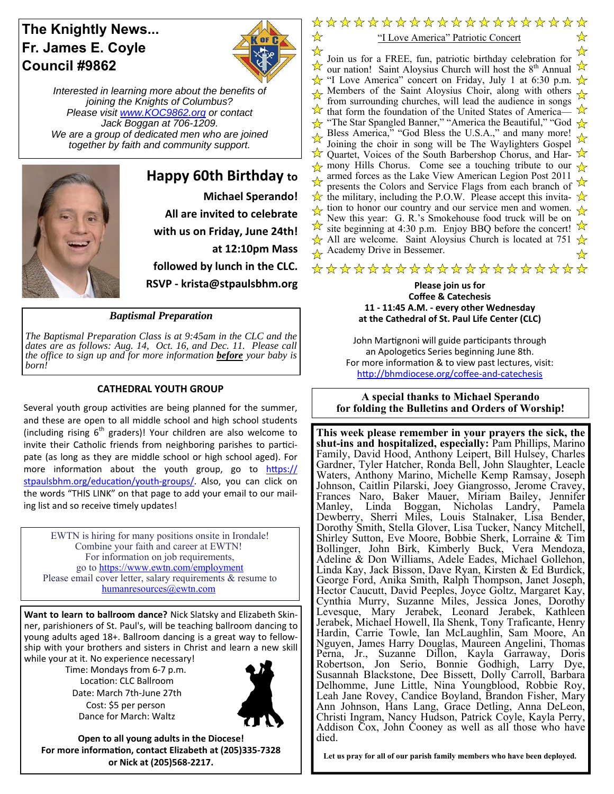### **The Knightly News... Fr. James E. Coyle Council #9862**



☆

*Interested in learning more about the benefits of joining the Knights of Columbus? Please visit www.KOC9862.org or contact Jack Boggan at 706-1209. We are a group of dedicated men who are joined together by faith and community support.*



**Happy 60th Birthday to Michael Sperando! All are invited to celebrate with us on Friday, June 24th! at 12:10pm Mass followed by lunch in the CLC. RSVP ‐ krista@stpaulsbhm.org** 

#### *Baptismal Preparation*

*The Baptismal Preparation Class is at 9:45am in the CLC and the dates are as follows: Aug. 14, Oct. 16, and Dec. 11. Please call the office to sign up and for more information before your baby is born!* 

#### **CATHEDRAL YOUTH GROUP**

Several youth group activities are being planned for the summer, and these are open to all middle school and high school students (including rising  $6<sup>th</sup>$  graders)! Your children are also welcome to invite their Catholic friends from neighboring parishes to participate (as long as they are middle school or high school aged). For more information about the youth group, go to https:// stpaulsbhm.org/education/youth-groups/. Also, you can click on the words "THIS LINK" on that page to add your email to our mailing list and so receive timely updates!

EWTN is hiring for many positions onsite in Irondale! Combine your faith and career at EWTN! For information on job requirements, go to https://www.ewtn.com/employment Please email cover letter, salary requirements & resume to humanresources@ewtn.com

**Want to learn to ballroom dance?** Nick Slatsky and Elizabeth Skinner, parishioners of St. Paul's, will be teaching ballroom dancing to young adults aged 18+. Ballroom dancing is a great way to fellowship with your brothers and sisters in Christ and learn a new skill while your at it. No experience necessary!

Time: Mondays from 6-7 p.m. Location: CLC Ballroom Date: March 7th-June 27th Cost: \$5 per person Dance for March: Waltz



**Open to all young adults in the Diocese! For more informaƟon, contact Elizabeth at (205)335‐7328 or Nick at (205)568‐2217.** 

\*\*\*\*\*\*\*\*\*\*\*\*\*\*\*\*\*\*\* "I Love America" Patriotic Concert

 $\star$  $\frac{1}{\sqrt{2}}$ Join us for a FREE, fun, patriotic birthday celebration for  $\lambda$  our as for a FREE, run, particle britinary celebration for  $\lambda$  our nation! Saint Aloysius Church will host the 8<sup>th</sup> Annual  $\frac{1}{\sqrt{x}}$  "I Love America" concert on Friday, July 1 at 6:30 p.m.  $\frac{1}{\sqrt{x}}$ Members of the Saint Aloysius Choir, along with others  $\lambda$ from surrounding churches, will lead the audience in songs  $\overrightarrow{X}$  that form the foundation of the United States of America— $\overrightarrow{X}$  $\frac{1}{\sqrt{2}}$  "The Star Spangled Banner," "America the Beautiful," "God  $\frac{1}{\sqrt{2}}$ Bless America," "God Bless the U.S.A.," and many more! Joining the choir in song will be The Waylighters Gospel  $\overrightarrow{\mathcal{X}}$  Quartet, Voices of the South Barbershop Chorus, and Har- $\overrightarrow{\mathcal{X}}$  $\frac{1}{\sqrt{2}}$  mony Hills Chorus. Come see a touching tribute to our  $\frac{1}{\sqrt{2}}$ armed forces as the Lake View American Legion Post 2011 presents the Colors and Service Flags from each branch of  $\frac{1}{2}$  $\overrightarrow{\mathbf{x}}$  the military, including the P.O.W. Please accept this invita- $\frac{1}{\sqrt{2}}$  tion to honor our country and our service men and women. New this year: G. R.'s Smokehouse food truck will be on site beginning at 4:30 p.m. Enjoy BBQ before the concert! All are welcome. Saint Aloysius Church is located at 751  $\frac{1}{\sqrt{2}}$  $\lambda$  Academy Drive in Bessemer.

\*\*\*\*\*\*\*\*\*\*\*\*\*\*\*\*\*\*\*\*

#### **Please join us for Coffee & Catechesis 11 ‐ 11:45 A.M. ‐ every other Wednesday at the Cathedral of St. Paul Life Center (CLC)**

John Martignoni will guide participants through an Apologetics Series beginning June 8th. For more information & to view past lectures, visit: http://bhmdiocese.org/coffee-and-catechesis

**A special thanks to Michael Sperando for folding the Bulletins and Orders of Worship!** 

**This week please remember in your prayers the sick, the shut-ins and hospitalized, especially:** Pam Phillips, Marino Family, David Hood, Anthony Leipert, Bill Hulsey, Charles Gardner, Tyler Hatcher, Ronda Bell, John Slaughter, Leacle Waters, Anthony Marino, Michelle Kemp Ramsay, Joseph Johnson, Caitlin Pilarski, Joey Giangrosso, Jerome Cravey, Frances Naro, Baker Mauer, Miriam Bailey, Jennifer Manley, Linda Boggan, Nicholas Landry, Pamela Dewberry, Sherri Miles, Louis Stalnaker, Lisa Bender, Dorothy Smith, Stella Glover, Lisa Tucker, Nancy Mitchell, Shirley Sutton, Eve Moore, Bobbie Sherk, Lorraine & Tim Bollinger, John Birk, Kimberly Buck, Vera Mendoza, Adeline & Don Williams, Adele Eades, Michael Gollehon, Linda Kay, Jack Bisson, Dave Ryan, Kirsten & Ed Burdick, George Ford, Anika Smith, Ralph Thompson, Janet Joseph, Hector Caucutt, David Peeples, Joyce Goltz, Margaret Kay, Cynthia Murry, Suzanne Miles, Jessica Jones, Dorothy Levesque, Mary Jerabek, Leonard Jerabek, Kathleen Jerabek, Michael Howell, Ila Shenk, Tony Traficante, Henry Hardin, Carrie Towle, Ian McLaughlin, Sam Moore, An Nguyen, James Harry Douglas, Maureen Angelini, Thomas Perna, Jr., Suzanne Dillon, Kayla Garraway, Doris Robertson, Jon Serio, Bonnie Godhigh, Larry Dye, Susannah Blackstone, Dee Bissett, Dolly Carroll, Barbara Delhomme, June Little, Nina Youngblood, Robbie Roy, Leah Jane Rovey, Candice Boyland, Brandon Fisher, Mary Ann Johnson, Hans Lang, Grace Detling, Anna DeLeon, Christi Ingram, Nancy Hudson, Patrick Coyle, Kayla Perry, Addison Cox, John Cooney as well as all those who have died.

**Let us pray for all of our parish family members who have been deployed.**